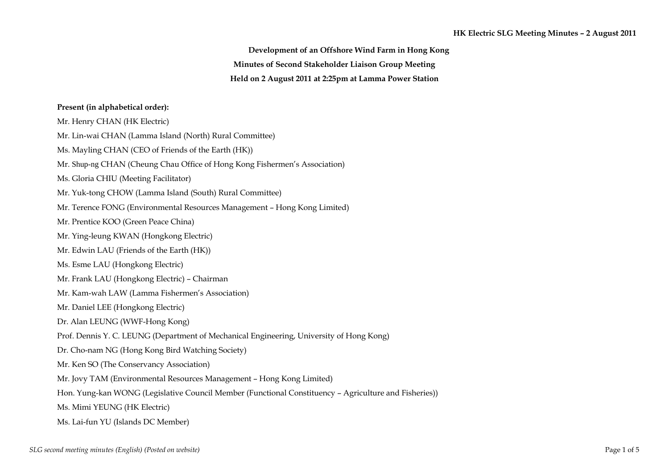**Development of an Offshore Wind Farm in Hong Kong Minutes of Second Stakeholder Liaison Group Meeting Held on 2 August 2011 at 2:25pm at Lamma Power Station** 

## **Present (in alphabetical order):**

Mr. Henry CHAN (HK Electric) Mr. Lin-wai CHAN (Lamma Island (North) Rural Committee) Ms. Mayling CHAN (CEO of Friends of the Earth (HK)) Mr. Shup-ng CHAN (Cheung Chau Office of Hong Kong Fishermen's Association) Ms. Gloria CHIU (Meeting Facilitator) Mr. Yuk-tong CHOW (Lamma Island (South) Rural Committee) Mr. Terence FONG (Environmental Resources Management – Hong Kong Limited) Mr. Prentice KOO (Green Peace China) Mr. Ying-leung KWAN (Hongkong Electric) Mr. Edwin LAU (Friends of the Earth (HK)) Ms. Esme LAU (Hongkong Electric) Mr. Frank LAU (Hongkong Electric) – Chairman Mr. Kam-wah LAW (Lamma Fishermen's Association) Mr. Daniel LEE (Hongkong Electric) Dr. Alan LEUNG (WWF-Hong Kong) Prof. Dennis Y. C. LEUNG (Department of Mechanical Engineering, University of Hong Kong) Dr. Cho-nam NG (Hong Kong Bird Watching Society) Mr. Ken SO (The Conservancy Association) Mr. Jovy TAM (Environmental Resources Management – Hong Kong Limited) Hon. Yung-kan WONG (Legislative Council Member (Functional Constituency – Agriculture and Fisheries)) Ms. Mimi YEUNG (HK Electric) Ms. Lai-fun YU (Islands DC Member)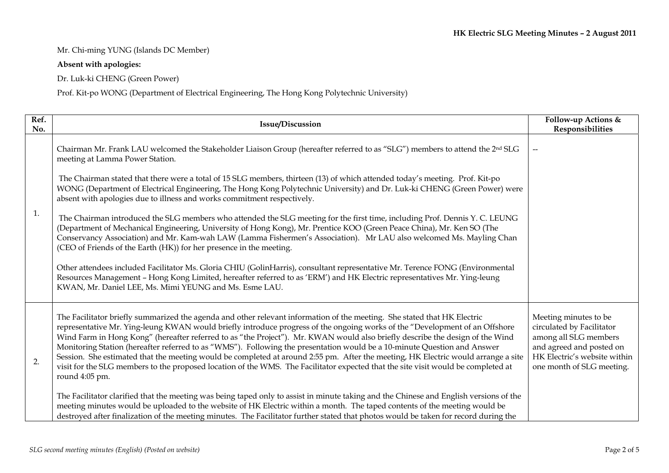## Mr. Chi-ming YUNG (Islands DC Member)

## **Absent with apologies:**

Dr. Luk-ki CHENG (Green Power)

Prof. Kit-po WONG (Department of Electrical Engineering, The Hong Kong Polytechnic University)

| Ref.<br>No. | Issue/Discussion                                                                                                                                                                                                                                                                                                                                                                                                                                                                                                                                                                                                                                                                                                                                                                                                 | Follow-up Actions &<br>Responsibilities                                                                                                                              |
|-------------|------------------------------------------------------------------------------------------------------------------------------------------------------------------------------------------------------------------------------------------------------------------------------------------------------------------------------------------------------------------------------------------------------------------------------------------------------------------------------------------------------------------------------------------------------------------------------------------------------------------------------------------------------------------------------------------------------------------------------------------------------------------------------------------------------------------|----------------------------------------------------------------------------------------------------------------------------------------------------------------------|
| 1.          | Chairman Mr. Frank LAU welcomed the Stakeholder Liaison Group (hereafter referred to as "SLG") members to attend the 2 <sup>nd</sup> SLG<br>meeting at Lamma Power Station.                                                                                                                                                                                                                                                                                                                                                                                                                                                                                                                                                                                                                                      |                                                                                                                                                                      |
|             | The Chairman stated that there were a total of 15 SLG members, thirteen (13) of which attended today's meeting. Prof. Kit-po<br>WONG (Department of Electrical Engineering, The Hong Kong Polytechnic University) and Dr. Luk-ki CHENG (Green Power) were<br>absent with apologies due to illness and works commitment respectively.                                                                                                                                                                                                                                                                                                                                                                                                                                                                             |                                                                                                                                                                      |
|             | The Chairman introduced the SLG members who attended the SLG meeting for the first time, including Prof. Dennis Y. C. LEUNG<br>(Department of Mechanical Engineering, University of Hong Kong), Mr. Prentice KOO (Green Peace China), Mr. Ken SO (The<br>Conservancy Association) and Mr. Kam-wah LAW (Lamma Fishermen's Association). Mr LAU also welcomed Ms. Mayling Chan<br>(CEO of Friends of the Earth (HK)) for her presence in the meeting.                                                                                                                                                                                                                                                                                                                                                              |                                                                                                                                                                      |
|             | Other attendees included Facilitator Ms. Gloria CHIU (GolinHarris), consultant representative Mr. Terence FONG (Environmental<br>Resources Management - Hong Kong Limited, hereafter referred to as 'ERM') and HK Electric representatives Mr. Ying-leung<br>KWAN, Mr. Daniel LEE, Ms. Mimi YEUNG and Ms. Esme LAU.                                                                                                                                                                                                                                                                                                                                                                                                                                                                                              |                                                                                                                                                                      |
| 2.          | The Facilitator briefly summarized the agenda and other relevant information of the meeting. She stated that HK Electric<br>representative Mr. Ying-leung KWAN would briefly introduce progress of the ongoing works of the "Development of an Offshore<br>Wind Farm in Hong Kong" (hereafter referred to as "the Project"). Mr. KWAN would also briefly describe the design of the Wind<br>Monitoring Station (hereafter referred to as "WMS"). Following the presentation would be a 10-minute Question and Answer<br>Session. She estimated that the meeting would be completed at around 2:55 pm. After the meeting, HK Electric would arrange a site<br>visit for the SLG members to the proposed location of the WMS. The Facilitator expected that the site visit would be completed at<br>round 4:05 pm. | Meeting minutes to be<br>circulated by Facilitator<br>among all SLG members<br>and agreed and posted on<br>HK Electric's website within<br>one month of SLG meeting. |
|             | The Facilitator clarified that the meeting was being taped only to assist in minute taking and the Chinese and English versions of the<br>meeting minutes would be uploaded to the website of HK Electric within a month. The taped contents of the meeting would be<br>destroyed after finalization of the meeting minutes. The Facilitator further stated that photos would be taken for record during the                                                                                                                                                                                                                                                                                                                                                                                                     |                                                                                                                                                                      |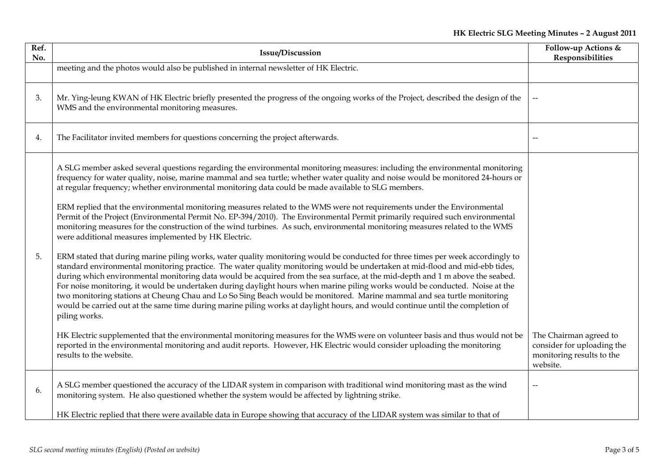| Ref.<br>No. | <b>Issue/Discussion</b>                                                                                                                                                                                                                                                                                                                                                                                                                                                                                                                                                                                                                                                                                                                                                                                                                                                                                                                                                                                                                                                                                                                                                                                                                                                                                                                                                                                                                                                                                                                                                                                                                      | Follow-up Actions &<br>Responsibilities                                                       |
|-------------|----------------------------------------------------------------------------------------------------------------------------------------------------------------------------------------------------------------------------------------------------------------------------------------------------------------------------------------------------------------------------------------------------------------------------------------------------------------------------------------------------------------------------------------------------------------------------------------------------------------------------------------------------------------------------------------------------------------------------------------------------------------------------------------------------------------------------------------------------------------------------------------------------------------------------------------------------------------------------------------------------------------------------------------------------------------------------------------------------------------------------------------------------------------------------------------------------------------------------------------------------------------------------------------------------------------------------------------------------------------------------------------------------------------------------------------------------------------------------------------------------------------------------------------------------------------------------------------------------------------------------------------------|-----------------------------------------------------------------------------------------------|
|             | meeting and the photos would also be published in internal newsletter of HK Electric.                                                                                                                                                                                                                                                                                                                                                                                                                                                                                                                                                                                                                                                                                                                                                                                                                                                                                                                                                                                                                                                                                                                                                                                                                                                                                                                                                                                                                                                                                                                                                        |                                                                                               |
| 3.          | Mr. Ying-leung KWAN of HK Electric briefly presented the progress of the ongoing works of the Project, described the design of the<br>WMS and the environmental monitoring measures.                                                                                                                                                                                                                                                                                                                                                                                                                                                                                                                                                                                                                                                                                                                                                                                                                                                                                                                                                                                                                                                                                                                                                                                                                                                                                                                                                                                                                                                         | $\overline{\phantom{a}}$                                                                      |
| 4.          | The Facilitator invited members for questions concerning the project afterwards.                                                                                                                                                                                                                                                                                                                                                                                                                                                                                                                                                                                                                                                                                                                                                                                                                                                                                                                                                                                                                                                                                                                                                                                                                                                                                                                                                                                                                                                                                                                                                             |                                                                                               |
| 5.          | A SLG member asked several questions regarding the environmental monitoring measures: including the environmental monitoring<br>frequency for water quality, noise, marine mammal and sea turtle; whether water quality and noise would be monitored 24-hours or<br>at regular frequency; whether environmental monitoring data could be made available to SLG members.<br>ERM replied that the environmental monitoring measures related to the WMS were not requirements under the Environmental<br>Permit of the Project (Environmental Permit No. EP-394/2010). The Environmental Permit primarily required such environmental<br>monitoring measures for the construction of the wind turbines. As such, environmental monitoring measures related to the WMS<br>were additional measures implemented by HK Electric.<br>ERM stated that during marine piling works, water quality monitoring would be conducted for three times per week accordingly to<br>standard environmental monitoring practice. The water quality monitoring would be undertaken at mid-flood and mid-ebb tides,<br>during which environmental monitoring data would be acquired from the sea surface, at the mid-depth and 1 m above the seabed.<br>For noise monitoring, it would be undertaken during daylight hours when marine piling works would be conducted. Noise at the<br>two monitoring stations at Cheung Chau and Lo So Sing Beach would be monitored. Marine mammal and sea turtle monitoring<br>would be carried out at the same time during marine piling works at daylight hours, and would continue until the completion of<br>piling works. |                                                                                               |
|             | HK Electric supplemented that the environmental monitoring measures for the WMS were on volunteer basis and thus would not be<br>reported in the environmental monitoring and audit reports. However, HK Electric would consider uploading the monitoring<br>results to the website.                                                                                                                                                                                                                                                                                                                                                                                                                                                                                                                                                                                                                                                                                                                                                                                                                                                                                                                                                                                                                                                                                                                                                                                                                                                                                                                                                         | The Chairman agreed to<br>consider for uploading the<br>monitoring results to the<br>website. |
| 6.          | A SLG member questioned the accuracy of the LIDAR system in comparison with traditional wind monitoring mast as the wind<br>monitoring system. He also questioned whether the system would be affected by lightning strike.                                                                                                                                                                                                                                                                                                                                                                                                                                                                                                                                                                                                                                                                                                                                                                                                                                                                                                                                                                                                                                                                                                                                                                                                                                                                                                                                                                                                                  |                                                                                               |
|             | HK Electric replied that there were available data in Europe showing that accuracy of the LIDAR system was similar to that of                                                                                                                                                                                                                                                                                                                                                                                                                                                                                                                                                                                                                                                                                                                                                                                                                                                                                                                                                                                                                                                                                                                                                                                                                                                                                                                                                                                                                                                                                                                |                                                                                               |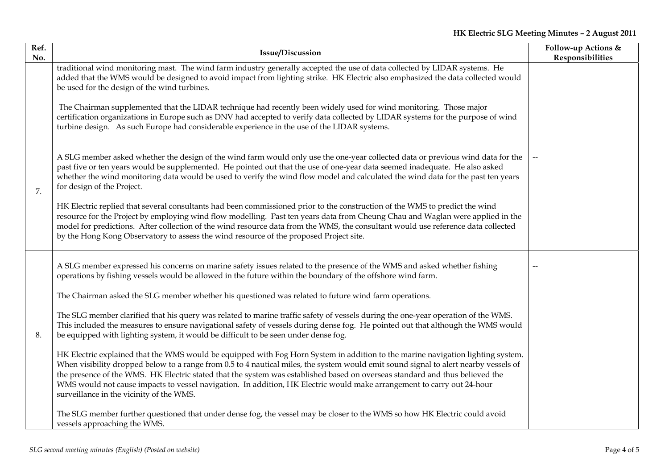| Ref.<br>No. | <b>Issue/Discussion</b>                                                                                                                                                                                                                                                                                                                                                                                                                                                                                                                                                       | Follow-up Actions &<br>Responsibilities |
|-------------|-------------------------------------------------------------------------------------------------------------------------------------------------------------------------------------------------------------------------------------------------------------------------------------------------------------------------------------------------------------------------------------------------------------------------------------------------------------------------------------------------------------------------------------------------------------------------------|-----------------------------------------|
|             | traditional wind monitoring mast. The wind farm industry generally accepted the use of data collected by LIDAR systems. He<br>added that the WMS would be designed to avoid impact from lighting strike. HK Electric also emphasized the data collected would<br>be used for the design of the wind turbines.                                                                                                                                                                                                                                                                 |                                         |
|             | The Chairman supplemented that the LIDAR technique had recently been widely used for wind monitoring. Those major<br>certification organizations in Europe such as DNV had accepted to verify data collected by LIDAR systems for the purpose of wind<br>turbine design. As such Europe had considerable experience in the use of the LIDAR systems.                                                                                                                                                                                                                          |                                         |
| 7.          | A SLG member asked whether the design of the wind farm would only use the one-year collected data or previous wind data for the<br>past five or ten years would be supplemented. He pointed out that the use of one-year data seemed inadequate. He also asked<br>whether the wind monitoring data would be used to verify the wind flow model and calculated the wind data for the past ten years<br>for design of the Project.                                                                                                                                              | $\overline{\phantom{m}}$                |
|             | HK Electric replied that several consultants had been commissioned prior to the construction of the WMS to predict the wind<br>resource for the Project by employing wind flow modelling. Past ten years data from Cheung Chau and Waglan were applied in the<br>model for predictions. After collection of the wind resource data from the WMS, the consultant would use reference data collected<br>by the Hong Kong Observatory to assess the wind resource of the proposed Project site.                                                                                  |                                         |
|             | A SLG member expressed his concerns on marine safety issues related to the presence of the WMS and asked whether fishing<br>operations by fishing vessels would be allowed in the future within the boundary of the offshore wind farm.                                                                                                                                                                                                                                                                                                                                       |                                         |
|             | The Chairman asked the SLG member whether his questioned was related to future wind farm operations.                                                                                                                                                                                                                                                                                                                                                                                                                                                                          |                                         |
| 8.          | The SLG member clarified that his query was related to marine traffic safety of vessels during the one-year operation of the WMS.<br>This included the measures to ensure navigational safety of vessels during dense fog. He pointed out that although the WMS would<br>be equipped with lighting system, it would be difficult to be seen under dense fog.                                                                                                                                                                                                                  |                                         |
|             | HK Electric explained that the WMS would be equipped with Fog Horn System in addition to the marine navigation lighting system.<br>When visibility dropped below to a range from 0.5 to 4 nautical miles, the system would emit sound signal to alert nearby vessels of<br>the presence of the WMS. HK Electric stated that the system was established based on overseas standard and thus believed the<br>WMS would not cause impacts to vessel navigation. In addition, HK Electric would make arrangement to carry out 24-hour<br>surveillance in the vicinity of the WMS. |                                         |
|             | The SLG member further questioned that under dense fog, the vessel may be closer to the WMS so how HK Electric could avoid<br>vessels approaching the WMS.                                                                                                                                                                                                                                                                                                                                                                                                                    |                                         |